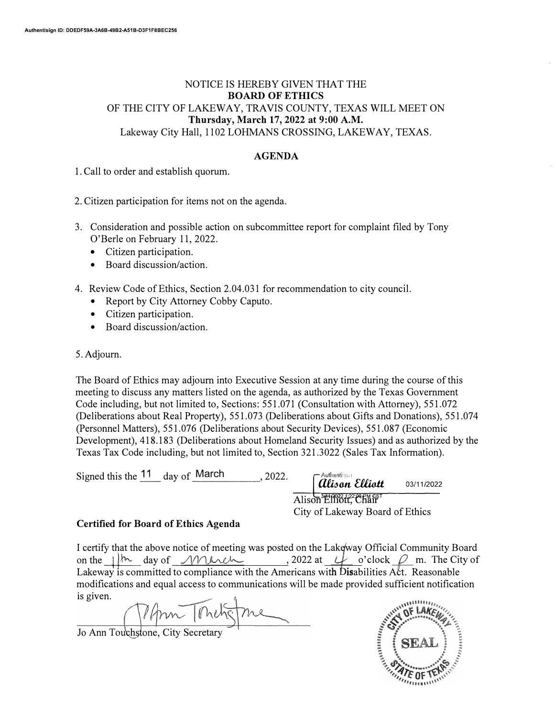## NOTICE IS HEREBY GIVEN THAT THE **BOARD OF ETHICS** OF THE CITY OF LAKEWAY, TRAVIS COUNTY, TEXAS WILL MEET ON **Thursday, March 17, 2022 at 9:00 A.M.**  Lakeway City Hall, 1102 LOHMANS CROSSING, LAKEWAY, TEXAS.

## **AGENDA**

1. Call to order and establish quorum.

2. Citizen participation for items not on the agenda.

- 3. Consideration and possible action on subcommittee report for complaint filed by Tony O'Berle on February 11, 2022.
	- Citizen participation.
	- Board discussion/action.
- 4. Review Code of Ethics, Section 2.04.031 for recommendation to city council.
	- Report by City Attorney Cobby Caputo.
	- Citizen participation.
	- Board discussion/action.

5. Adjourn.

The Board of Ethics may adjourn into Executive Session at any time during the course of this meeting to discuss any matters listed on the agenda, as authorized by the Texas Government Code including, but not limited to, Sections: 551.071 (Consultation with Attorney), 551.072 (Deliberations about Real Property), 551.073 (Deliberations about Gifts and Donations), 551.074 (Personnel Matters), 551.076 (Deliberations about Security Devices), 551.087 (Economic Development), 418.183 (Deliberations about Homeland Security Issues) and as authorized by the Texas Tax Code including, but not limited to, Section 321.3022 (Sales Tax Information).

| Signed this the $11$ day of March | 2022. | $\lceil$ Authentissen Elliott                            | 03/11/2022 |  |
|-----------------------------------|-------|----------------------------------------------------------|------------|--|
|                                   |       | Alison Elliott, Chair<br>City of Lakeway Board of Ethics |            |  |

## **Certified for Board of Ethics Agenda**

I certify that the above notice of meeting was posted on the Lakeway Official Community Board<br>on the  $\frac{1}{N}$  day of  $\frac{1}{N}$  day of  $\frac{1}{N}$  and  $\frac{1}{N}$  and  $\frac{1}{N}$  and  $\frac{1}{N}$  day of  $\frac{1}{N}$  and  $\frac{1}{N}$  and modifications and equal access to communications will be made provided sufficient notification is given.

Jo Ann Touchstone, City Secretary